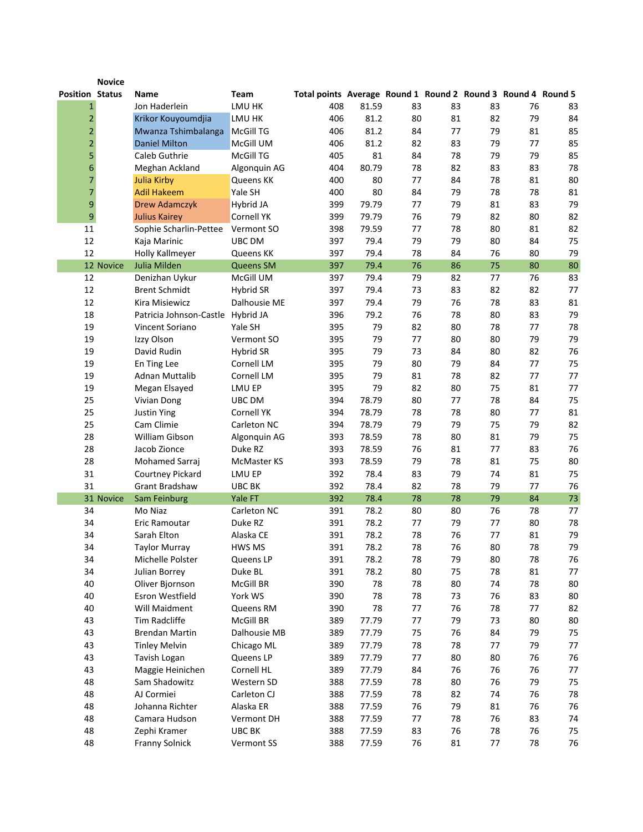|                         | <b>Novice</b> |                                  |                      |                                                              |            |          |          |          |          |          |
|-------------------------|---------------|----------------------------------|----------------------|--------------------------------------------------------------|------------|----------|----------|----------|----------|----------|
| <b>Position Status</b>  |               | Name                             | <b>Team</b>          | Total points Average Round 1 Round 2 Round 3 Round 4 Round 5 |            |          |          |          |          |          |
| $\mathbf{1}$            |               | Jon Haderlein                    | LMU HK               | 408                                                          | 81.59      | 83       | 83       | 83       | 76       | 83       |
| $\overline{\mathbf{c}}$ |               | Krikor Kouyoumdjia               | LMU HK               | 406                                                          | 81.2       | 80       | 81       | 82       | 79       | 84       |
| $\overline{c}$          |               | Mwanza Tshimbalanga              | <b>McGill TG</b>     | 406                                                          | 81.2       | 84       | 77       | 79       | 81       | 85       |
| $\overline{2}$          |               | <b>Daniel Milton</b>             | McGill UM            | 406                                                          | 81.2       | 82       | 83       | 79       | 77       | 85       |
| 5                       |               | Caleb Guthrie                    | McGill TG            | 405                                                          | 81         | 84       | 78       | 79       | 79       | 85       |
| 6                       |               | Meghan Ackland                   | Algonquin AG         | 404                                                          | 80.79      | 78       | 82       | 83       | 83       | 78       |
| 7                       |               | <b>Julia Kirby</b>               | Queens KK            | 400                                                          | 80         | 77       | 84       | 78       | 81       | 80       |
| 7                       |               | <b>Adil Hakeem</b>               | Yale SH              | 400                                                          | 80         | 84       | 79       | 78       | 78       | 81       |
| $\boldsymbol{9}$        |               | <b>Drew Adamczyk</b>             | Hybrid JA            | 399                                                          | 79.79      | 77       | 79       | 81       | 83       | 79       |
| $\boldsymbol{9}$        |               | <b>Julius Kairey</b>             | Cornell YK           | 399                                                          | 79.79      | 76       | 79       | 82       | 80       | 82       |
| 11                      |               | Sophie Scharlin-Pettee           | Vermont SO           | 398                                                          | 79.59      | 77       | 78       | 80       | 81       | 82       |
| 12                      |               | Kaja Marinic                     | UBC DM               | 397                                                          | 79.4       | 79       | 79       | 80       | 84       | 75       |
| 12                      |               | Holly Kallmeyer                  | Queens KK            | 397                                                          | 79.4       | 78       | 84       | 76       | 80       | 79       |
|                         | 12 Novice     | Julia Milden                     | <b>Queens SM</b>     | 397                                                          | 79.4       | 76       | 86       | 75       | 80       | 80       |
| 12                      |               | Denizhan Uykur                   | McGill UM            | 397                                                          | 79.4       | 79       | 82       | 77       | 76       | 83       |
| 12                      |               | <b>Brent Schmidt</b>             | Hybrid SR            | 397                                                          | 79.4       | 73       | 83       | 82       | 82       | 77       |
| 12                      |               | Kira Misiewicz                   | Dalhousie ME         | 397                                                          | 79.4       | 79       | 76       | 78       | 83       | 81       |
| 18                      |               | Patricia Johnson-Castle          | Hybrid JA            | 396                                                          | 79.2       | 76       | 78       | 80       | 83       | 79       |
| 19                      |               | Vincent Soriano                  | Yale SH              | 395                                                          | 79         | 82       | 80       | 78       | 77       | 78       |
| 19                      |               | Izzy Olson                       | Vermont SO           | 395                                                          | 79         | 77       | 80       | 80       | 79       | 79       |
| 19                      |               | David Rudin                      | Hybrid SR            | 395                                                          | 79         | 73       | 84       | 80       | 82       | 76       |
| 19                      |               | En Ting Lee                      | Cornell LM           | 395                                                          | 79         | 80       | 79       | 84       | 77       | 75       |
| 19                      |               | <b>Adnan Muttalib</b>            | Cornell LM           | 395                                                          | 79         | 81       | 78       | 82       | 77       | 77       |
| 19                      |               | Megan Elsayed                    | LMU EP               | 395                                                          | 79         | 82       | 80       | 75       | 81       | 77       |
| 25                      |               | Vivian Dong                      | UBC DM               | 394                                                          | 78.79      | 80       | 77       | 78       | 84       | 75       |
| 25                      |               | <b>Justin Ying</b>               | Cornell YK           | 394                                                          | 78.79      | 78       | 78       | 80       | 77       | 81       |
| 25                      |               | Cam Climie                       | Carleton NC          | 394                                                          | 78.79      | 79       | 79       | 75       | 79       | 82       |
| 28                      |               | William Gibson                   | Algonquin AG         | 393                                                          | 78.59      | 78       | 80       | 81       | 79       | 75       |
| 28                      |               | Jacob Zionce                     | Duke RZ              | 393                                                          | 78.59      | 76       | 81       | 77       | 83       | 76       |
| 28                      |               | Mohamed Sarraj                   | <b>McMaster KS</b>   | 393                                                          | 78.59      | 79       | 78       | 81       | 75       | 80       |
| 31                      |               | Courtney Pickard                 | LMU EP               | 392                                                          | 78.4       | 83       | 79       | 74       | 81       | 75       |
| 31                      |               | <b>Grant Bradshaw</b>            | UBC BK               | 392                                                          | 78.4       | 82       | 78       | 79       | 77       | 76       |
|                         | 31 Novice     | Sam Feinburg                     | Yale FT              | 392                                                          | 78.4       | 78       | 78       | 79       | 84       | 73       |
| 34                      |               | Mo Niaz                          | Carleton NC          | 391                                                          | 78.2       | 80       | 80       | 76       | 78       | 77       |
| 34                      |               | Eric Ramoutar                    | Duke RZ              | 391                                                          | 78.2       | 77       | 79       | 77       | 80       | 78       |
| 34                      |               | Sarah Elton                      | Alaska CE            | 391                                                          | 78.2       | 78       | 76       | 77       | 81       | 79       |
| 34<br>34                |               | Taylor Murray                    | HWS MS               | 391                                                          | 78.2       | 78       | 76       | 80       | 78       | 79       |
|                         |               | Michelle Polster                 | Queens LP<br>Duke BL | 391                                                          | 78.2       | 78       | 79       | 80       | 78       | 76<br>77 |
| 34<br>40                |               | Julian Borrey<br>Oliver Bjornson | McGill BR            | 391<br>390                                                   | 78.2<br>78 | 80<br>78 | 75<br>80 | 78<br>74 | 81<br>78 | 80       |
| 40                      |               | Esron Westfield                  | York WS              | 390                                                          | 78         | 78       | 73       | 76       | 83       | 80       |
| 40                      |               | Will Maidment                    | Queens RM            | 390                                                          | 78         | 77       | 76       | 78       | 77       | 82       |
| 43                      |               | Tim Radcliffe                    | McGill BR            | 389                                                          | 77.79      | 77       | 79       | 73       | 80       | 80       |
| 43                      |               | Brendan Martin                   | Dalhousie MB         | 389                                                          | 77.79      | 75       | 76       | 84       | 79       | 75       |
| 43                      |               | <b>Tinley Melvin</b>             | Chicago ML           | 389                                                          | 77.79      | 78       | 78       | 77       | 79       | 77       |
| 43                      |               | Tavish Logan                     | Queens LP            | 389                                                          | 77.79      | 77       | 80       | 80       | 76       | 76       |
| 43                      |               | Maggie Heinichen                 | Cornell HL           | 389                                                          | 77.79      | 84       | 76       | 76       | 76       | 77       |
| 48                      |               | Sam Shadowitz                    | Western SD           | 388                                                          | 77.59      | 78       | 80       | 76       | 79       | 75       |
| 48                      |               | AJ Cormiei                       | Carleton CJ          | 388                                                          | 77.59      | 78       | 82       | 74       | 76       | 78       |
| 48                      |               | Johanna Richter                  | Alaska ER            | 388                                                          | 77.59      | 76       | 79       | 81       | 76       | 76       |
| 48                      |               | Camara Hudson                    | Vermont DH           | 388                                                          | 77.59      | 77       | 78       | 76       | 83       | 74       |
| 48                      |               | Zephi Kramer                     | UBC BK               | 388                                                          | 77.59      | 83       | 76       | 78       | 76       | 75       |
| 48                      |               | Franny Solnick                   | Vermont SS           | 388                                                          | 77.59      | 76       | 81       | 77       | 78       | 76       |
|                         |               |                                  |                      |                                                              |            |          |          |          |          |          |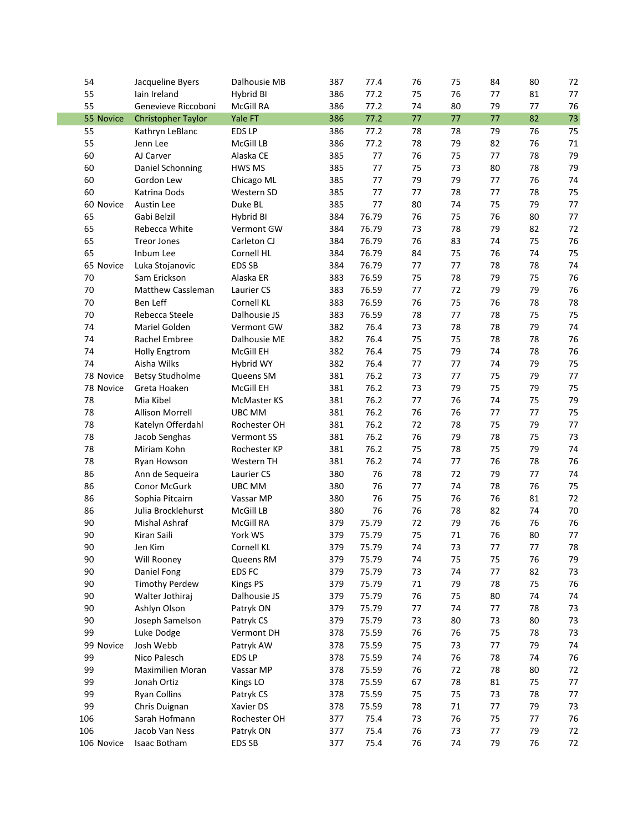| 54         |                           | Dalhousie MB    |     |       | 76      |        | 84     | 80      |        |
|------------|---------------------------|-----------------|-----|-------|---------|--------|--------|---------|--------|
|            | Jacqueline Byers          |                 | 387 | 77.4  |         | 75     |        |         | 72     |
| 55         | lain Ireland              | Hybrid BI       | 386 | 77.2  | 75      | 76     | 77     | 81      | 77     |
| 55         | Genevieve Riccoboni       | McGill RA       | 386 | 77.2  | 74      | 80     | 79     | 77      | 76     |
| 55 Novice  | <b>Christopher Taylor</b> | Yale FT         | 386 | 77.2  | 77      | 77     | 77     | 82      | 73     |
| 55         | Kathryn LeBlanc           | EDS LP          | 386 | 77.2  | 78      | 78     | 79     | 76      | 75     |
| 55         | Jenn Lee                  | McGill LB       | 386 | 77.2  | 78      | 79     | 82     | 76      | 71     |
| 60         | AJ Carver                 | Alaska CE       | 385 | 77    | 76      | 75     | 77     | 78      | 79     |
| 60         | Daniel Schonning          | HWS MS          | 385 | 77    | 75      | 73     | 80     | 78      | 79     |
| 60         | Gordon Lew                | Chicago ML      | 385 | 77    | 79      | 79     | 77     | 76      | 74     |
| 60         | Katrina Dods              | Western SD      | 385 | 77    | 77      | 78     | 77     | 78      | 75     |
| 60 Novice  | Austin Lee                | Duke BL         | 385 | 77    | 80      | 74     | 75     | 79      | 77     |
| 65         | Gabi Belzil               | Hybrid BI       | 384 | 76.79 | 76      | 75     | 76     | 80      | 77     |
| 65         | Rebecca White             | Vermont GW      | 384 | 76.79 | 73      | 78     | 79     | 82      | 72     |
| 65         | <b>Treor Jones</b>        | Carleton CJ     | 384 | 76.79 | 76      | 83     | 74     | 75      | 76     |
| 65         | Inbum Lee                 | Cornell HL      | 384 | 76.79 | 84      | 75     | 76     | 74      | 75     |
| 65 Novice  | Luka Stojanovic           | EDS SB          | 384 | 76.79 | 77      | 77     | 78     | 78      | 74     |
| 70         | Sam Erickson              | Alaska ER       | 383 | 76.59 | 75      | 78     | 79     | 75      | 76     |
| $70\,$     | Matthew Cassleman         | Laurier CS      | 383 | 76.59 | $77 \,$ | 72     | 79     | 79      | 76     |
| $70\,$     | Ben Leff                  | Cornell KL      | 383 | 76.59 | 76      | 75     | 76     | 78      | 78     |
|            |                           | Dalhousie JS    |     | 76.59 | 78      | 77     | 78     | 75      |        |
| $70\,$     | Rebecca Steele            | Vermont GW      | 383 |       |         |        |        |         | 75     |
| 74         | Mariel Golden             |                 | 382 | 76.4  | 73      | 78     | 78     | 79      | 74     |
| 74         | Rachel Embree             | Dalhousie ME    | 382 | 76.4  | 75      | 75     | 78     | 78      | 76     |
| 74         | <b>Holly Engtrom</b>      | McGill EH       | 382 | 76.4  | 75      | 79     | 74     | 78      | 76     |
| 74         | Aisha Wilks               | Hybrid WY       | 382 | 76.4  | $77 \,$ | 77     | 74     | 79      | 75     |
| 78 Novice  | <b>Betsy Studholme</b>    | Queens SM       | 381 | 76.2  | 73      | 77     | 75     | 79      | 77     |
| 78 Novice  | Greta Hoaken              | McGill EH       | 381 | 76.2  | 73      | 79     | 75     | 79      | 75     |
| 78         | Mia Kibel                 | McMaster KS     | 381 | 76.2  | $77 \,$ | 76     | 74     | 75      | 79     |
| 78         | Allison Morrell           | UBC MM          | 381 | 76.2  | 76      | 76     | 77     | 77      | 75     |
| 78         | Katelyn Offerdahl         | Rochester OH    | 381 | 76.2  | 72      | 78     | 75     | 79      | 77     |
| 78         | Jacob Senghas             | Vermont SS      | 381 | 76.2  | 76      | 79     | 78     | 75      | 73     |
| 78         | Miriam Kohn               | Rochester KP    | 381 | 76.2  | 75      | 78     | 75     | 79      | 74     |
| 78         | Ryan Howson               | Western TH      | 381 | 76.2  | 74      | 77     | 76     | 78      | 76     |
| 86         | Ann de Sequeira           | Laurier CS      | 380 | 76    | 78      | 72     | 79     | 77      | 74     |
| 86         | Conor McGurk              | UBC MM          | 380 | 76    | 77      | 74     | 78     | 76      | 75     |
| 86         | Sophia Pitcairn           | Vassar MP       | 380 | 76    | 75      | 76     | 76     | 81      | 72     |
| 86         | Julia Brocklehurst        | McGill LB       | 380 | 76    | 76      | 78     | 82     | 74      | $70\,$ |
| 90         | Mishal Ashraf             | McGill RA       | 379 | 75.79 | 72      | 79     | 76     | 76      | 76     |
| 90         | Kiran Saili               | York WS         | 379 | 75.79 | 75      | 71     | 76     | 80      | 77     |
| 90         | Jen Kim                   | Cornell KL      | 379 | 75.79 | 74      | 73     | $77\,$ | $77 \,$ | 78     |
| 90         | Will Rooney               | Queens RM       | 379 | 75.79 | 74      | 75     | 75     | 76      | 79     |
| 90         | Daniel Fong               | EDS FC          | 379 | 75.79 | 73      | 74     | 77     | 82      | 73     |
| 90         | <b>Timothy Perdew</b>     | <b>Kings PS</b> | 379 | 75.79 | 71      | 79     | 78     | 75      | 76     |
| 90         | Walter Jothiraj           | Dalhousie JS    | 379 | 75.79 | 76      | 75     | 80     | 74      | 74     |
| 90         | Ashlyn Olson              | Patryk ON       | 379 | 75.79 | 77      | 74     | 77     | 78      | 73     |
| 90         | Joseph Samelson           | Patryk CS       | 379 | 75.79 | 73      | 80     | 73     | 80      | 73     |
| 99         | Luke Dodge                | Vermont DH      | 378 | 75.59 | 76      | 76     | 75     | 78      | 73     |
|            |                           |                 |     |       |         |        |        |         |        |
| 99 Novice  | Josh Webb                 | Patryk AW       | 378 | 75.59 | 75      | 73     | 77     | 79      | 74     |
| 99         | Nico Palesch              | EDS LP          | 378 | 75.59 | 74      | 76     | 78     | 74      | 76     |
| 99         | Maximilien Moran          | Vassar MP       | 378 | 75.59 | 76      | 72     | 78     | 80      | 72     |
| 99         | Jonah Ortiz               | Kings LO        | 378 | 75.59 | 67      | 78     | 81     | 75      | 77     |
| 99         | <b>Ryan Collins</b>       | Patryk CS       | 378 | 75.59 | 75      | 75     | 73     | 78      | 77     |
| 99         | Chris Duignan             | Xavier DS       | 378 | 75.59 | 78      | $71\,$ | 77     | 79      | 73     |
| 106        | Sarah Hofmann             | Rochester OH    | 377 | 75.4  | 73      | 76     | 75     | 77      | 76     |
| 106        | Jacob Van Ness            | Patryk ON       | 377 | 75.4  | 76      | 73     | 77     | 79      | 72     |
| 106 Novice | Isaac Botham              | EDS SB          | 377 | 75.4  | 76      | 74     | 79     | 76      | 72     |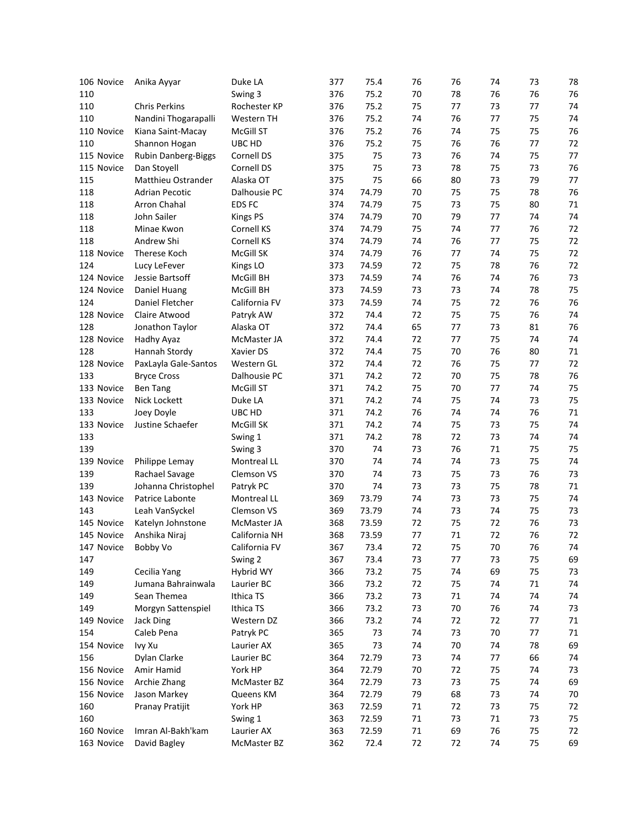| 106 Novice | Anika Ayyar           | Duke LA           | 377 | 75.4  | 76     | 76       | 74           | 73       | 78 |
|------------|-----------------------|-------------------|-----|-------|--------|----------|--------------|----------|----|
| 110        |                       | Swing 3           | 376 | 75.2  | 70     | 78       | 76           | 76       | 76 |
| 110        | <b>Chris Perkins</b>  | Rochester KP      | 376 | 75.2  | 75     | 77       | 73           | 77       | 74 |
| 110        | Nandini Thogarapalli  | Western TH        | 376 | 75.2  | 74     | 76       | 77           | 75       | 74 |
| 110 Novice | Kiana Saint-Macay     | McGill ST         | 376 | 75.2  | 76     | 74       | 75           | 75       | 76 |
| 110        | Shannon Hogan         | UBC HD            | 376 | 75.2  | 75     | 76       | 76           | 77       | 72 |
| 115 Novice | Rubin Danberg-Biggs   | Cornell DS        | 375 | 75    | 73     | 76       | 74           | 75       | 77 |
| 115 Novice | Dan Stoyell           | Cornell DS        | 375 | 75    | 73     | 78       | 75           | 73       | 76 |
| 115        | Matthieu Ostrander    | Alaska OT         | 375 | 75    | 66     | 80       | 73           | 79       | 77 |
| 118        | <b>Adrian Pecotic</b> | Dalhousie PC      | 374 | 74.79 | 70     | 75       | 75           | 78       | 76 |
| 118        | Arron Chahal          | EDS FC            | 374 | 74.79 | 75     | 73       | 75           | 80       | 71 |
| 118        | John Sailer           | <b>Kings PS</b>   | 374 | 74.79 | 70     | 79       | 77           | 74       | 74 |
| 118        | Minae Kwon            | Cornell KS        | 374 | 74.79 | 75     | 74       | 77           | 76       | 72 |
| 118        | Andrew Shi            | Cornell KS        | 374 | 74.79 | 74     | 76       | 77           | 75       | 72 |
| 118 Novice | Therese Koch          | McGill SK         | 374 | 74.79 | 76     | 77       | 74           | 75       | 72 |
| 124        | Lucy LeFever          | Kings LO          | 373 | 74.59 | 72     | 75       | 78           | 76       | 72 |
| 124 Novice | Jessie Bartsoff       | McGill BH         | 373 | 74.59 | 74     | 76       | 74           | 76       | 73 |
| 124 Novice | Daniel Huang          | McGill BH         | 373 | 74.59 | 73     | 73       | 74           | 78       | 75 |
| 124        | Daniel Fletcher       | California FV     | 373 | 74.59 | 74     | 75       | 72           | 76       | 76 |
| 128 Novice | Claire Atwood         | Patryk AW         | 372 | 74.4  | 72     | 75       | 75           | 76       | 74 |
| 128        | Jonathon Taylor       | Alaska OT         | 372 | 74.4  | 65     | 77       | 73           | 81       | 76 |
| 128 Novice | Hadhy Ayaz            | McMaster JA       | 372 | 74.4  | 72     | 77       | 75           | 74       | 74 |
| 128        | Hannah Stordy         | Xavier DS         | 372 | 74.4  | 75     | 70       | 76           | 80       | 71 |
| 128 Novice | PaxLayla Gale-Santos  | Western GL        | 372 | 74.4  | 72     | 76       | 75           | 77       | 72 |
| 133        | <b>Bryce Cross</b>    | Dalhousie PC      | 371 | 74.2  | 72     | 70       | 75           | 78       | 76 |
| 133 Novice | Ben Tang              | McGill ST         | 371 | 74.2  | 75     | 70       | 77           | 74       | 75 |
| 133 Novice | Nick Lockett          | Duke LA           | 371 | 74.2  | 74     | 75       | 74           | 73       | 75 |
| 133        | Joey Doyle            | UBC HD            | 371 | 74.2  | 76     | 74       | 74           | 76       | 71 |
| 133 Novice | Justine Schaefer      | McGill SK         | 371 | 74.2  | 74     | 75       | 73           | 75       | 74 |
|            |                       |                   | 371 | 74.2  | 78     | 72       |              | 74       | 74 |
| 133<br>139 |                       | Swing 1           | 370 | 74    | 73     |          | 73<br>$71\,$ |          | 75 |
| 139 Novice |                       | Swing 3           | 370 | 74    | 74     | 76<br>74 | 73           | 75<br>75 | 74 |
|            | Philippe Lemay        | Montreal LL       |     |       |        |          |              |          |    |
| 139        | Rachael Savage        | <b>Clemson VS</b> | 370 | 74    | 73     | 75       | 73           | 76       | 73 |
| 139        | Johanna Christophel   | Patryk PC         | 370 | 74    | 73     | 73       | 75           | 78       | 71 |
| 143 Novice | Patrice Labonte       | Montreal LL       | 369 | 73.79 | 74     | 73       | 73           | 75       | 74 |
| 143        | Leah VanSyckel        | Clemson VS        | 369 | 73.79 | 74     | 73       | 74           | 75       | 73 |
| 145 Novice | Katelyn Johnstone     | McMaster JA       | 368 | 73.59 | 72     | 75       | 72           | 76       | 73 |
| 145 Novice | Anshika Niraj         | California NH     | 368 | 73.59 | 77     | 71       | 72           | 76       | 72 |
| 147 Novice | Bobby Vo              | California FV     | 367 | 73.4  | 72     | 75       | $70\,$       | 76       | 74 |
| 147        |                       | Swing 2           | 367 | 73.4  | 73     | 77       | 73           | 75       | 69 |
| 149        | Cecilia Yang          | Hybrid WY         | 366 | 73.2  | 75     | 74       | 69           | 75       | 73 |
| 149        | Jumana Bahrainwala    | Laurier BC        | 366 | 73.2  | 72     | 75       | 74           | $71\,$   | 74 |
| 149        | Sean Themea           | Ithica TS         | 366 | 73.2  | 73     | 71       | 74           | 74       | 74 |
| 149        | Morgyn Sattenspiel    | Ithica TS         | 366 | 73.2  | 73     | 70       | 76           | 74       | 73 |
| 149 Novice | Jack Ding             | Western DZ        | 366 | 73.2  | 74     | 72       | 72           | 77       | 71 |
| 154        | Caleb Pena            | Patryk PC         | 365 | 73    | 74     | 73       | $70\,$       | 77       | 71 |
| 154 Novice | Ivy Xu                | Laurier AX        | 365 | 73    | 74     | 70       | 74           | 78       | 69 |
| 156        | Dylan Clarke          | Laurier BC        | 364 | 72.79 | 73     | 74       | 77           | 66       | 74 |
| 156 Novice | Amir Hamid            | York HP           | 364 | 72.79 | 70     | 72       | 75           | 74       | 73 |
| 156 Novice | Archie Zhang          | McMaster BZ       | 364 | 72.79 | 73     | 73       | 75           | 74       | 69 |
| 156 Novice | Jason Markey          | Queens KM         | 364 | 72.79 | 79     | 68       | 73           | 74       | 70 |
| 160        | Pranay Pratijit       | York HP           | 363 | 72.59 | 71     | 72       | 73           | 75       | 72 |
| 160        |                       | Swing 1           | 363 | 72.59 | $71\,$ | 73       | 71           | 73       | 75 |
| 160 Novice | Imran Al-Bakh'kam     | Laurier AX        | 363 | 72.59 | $71\,$ | 69       | 76           | 75       | 72 |
| 163 Novice | David Bagley          | McMaster BZ       | 362 | 72.4  | 72     | 72       | 74           | 75       | 69 |